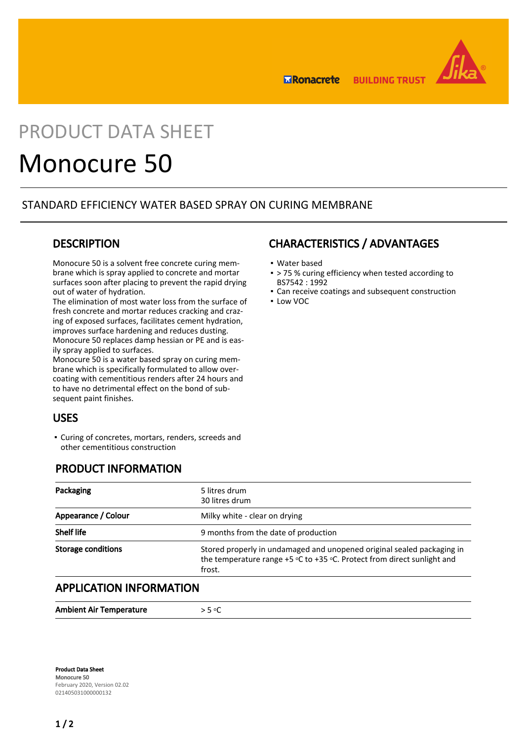

**ERonacrete BUILDING TRUST** 

# PRODUCT DATA SHEET

# Monocure 50

### STANDARD EFFICIENCY WATER BASED SPRAY ON CURING MEMBRANE

## **DESCRIPTION**

Monocure 50 is a solvent free concrete curing membrane which is spray applied to concrete and mortar surfaces soon after placing to prevent the rapid drying out of water of hydration.

The elimination of most water loss from the surface of fresh concrete and mortar reduces cracking and crazing of exposed surfaces, facilitates cement hydration, improves surface hardening and reduces dusting. Monocure 50 replaces damp hessian or PE and is easily spray applied to surfaces.

Monocure 50 is a water based spray on curing membrane which is specifically formulated to allow overcoating with cementitious renders after 24 hours and to have no detrimental effect on the bond of subsequent paint finishes.

## USES

Curing of concretes, mortars, renders, screeds and ▪ other cementitious construction

## PRODUCT INFORMATION

## CHARACTERISTICS / ADVANTAGES

- Water based
- > 75 % curing efficiency when tested according to BS7542 : 1992
- **Can receive coatings and subsequent construction**
- Low VOC

| 5 litres drum<br>30 litres drum                                                                                                                                 |
|-----------------------------------------------------------------------------------------------------------------------------------------------------------------|
| Milky white - clear on drying                                                                                                                                   |
| 9 months from the date of production                                                                                                                            |
| Stored properly in undamaged and unopened original sealed packaging in<br>the temperature range $+5$ °C to $+35$ °C. Protect from direct sunlight and<br>frost. |
|                                                                                                                                                                 |

### APPLICATION INFORMATION

| <b>Ambient Air Temperature</b> | . E or |
|--------------------------------|--------|
|                                |        |

Product Data Sheet Monocure 50 February 2020, Version 02.02 021405031000000132